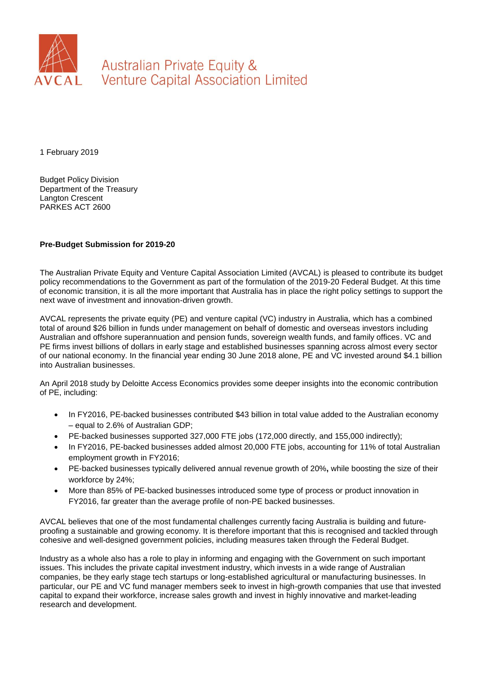

Australian Private Equity & **Venture Capital Association Limited** 

1 February 2019

Budget Policy Division Department of the Treasury Langton Crescent PARKES ACT 2600

#### **Pre-Budget Submission for 2019-20**

The Australian Private Equity and Venture Capital Association Limited (AVCAL) is pleased to contribute its budget policy recommendations to the Government as part of the formulation of the 2019-20 Federal Budget. At this time of economic transition, it is all the more important that Australia has in place the right policy settings to support the next wave of investment and innovation-driven growth.

AVCAL represents the private equity (PE) and venture capital (VC) industry in Australia, which has a combined total of around \$26 billion in funds under management on behalf of domestic and overseas investors including Australian and offshore superannuation and pension funds, sovereign wealth funds, and family offices. VC and PE firms invest billions of dollars in early stage and established businesses spanning across almost every sector of our national economy. In the financial year ending 30 June 2018 alone, PE and VC invested around \$4.1 billion into Australian businesses.

An April 2018 study by Deloitte Access Economics provides some deeper insights into the economic contribution of PE, including:

- In FY2016, PE-backed businesses contributed \$43 billion in total value added to the Australian economy – equal to 2.6% of Australian GDP;
- PE-backed businesses supported 327,000 FTE jobs (172,000 directly, and 155,000 indirectly);
- In FY2016, PE-backed businesses added almost 20,000 FTE jobs, accounting for 11% of total Australian employment growth in FY2016;
- PE-backed businesses typically delivered annual revenue growth of 20%**,** while boosting the size of their workforce by 24%;
- More than 85% of PE-backed businesses introduced some type of process or product innovation in FY2016, far greater than the average profile of non-PE backed businesses.

AVCAL believes that one of the most fundamental challenges currently facing Australia is building and futureproofing a sustainable and growing economy. It is therefore important that this is recognised and tackled through cohesive and well-designed government policies, including measures taken through the Federal Budget.

Industry as a whole also has a role to play in informing and engaging with the Government on such important issues. This includes the private capital investment industry, which invests in a wide range of Australian companies, be they early stage tech startups or long-established agricultural or manufacturing businesses. In particular, our PE and VC fund manager members seek to invest in high-growth companies that use that invested capital to expand their workforce, increase sales growth and invest in highly innovative and market-leading research and development.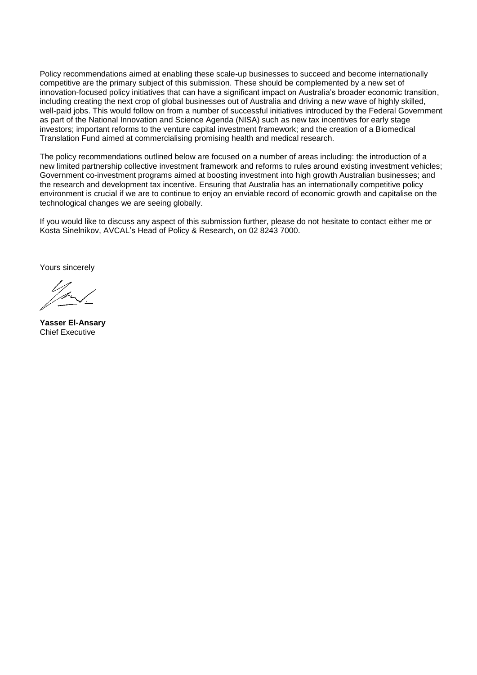Policy recommendations aimed at enabling these scale-up businesses to succeed and become internationally competitive are the primary subject of this submission. These should be complemented by a new set of innovation-focused policy initiatives that can have a significant impact on Australia's broader economic transition, including creating the next crop of global businesses out of Australia and driving a new wave of highly skilled, well-paid jobs. This would follow on from a number of successful initiatives introduced by the Federal Government as part of the National Innovation and Science Agenda (NISA) such as new tax incentives for early stage investors; important reforms to the venture capital investment framework; and the creation of a Biomedical Translation Fund aimed at commercialising promising health and medical research.

The policy recommendations outlined below are focused on a number of areas including: the introduction of a new limited partnership collective investment framework and reforms to rules around existing investment vehicles; Government co-investment programs aimed at boosting investment into high growth Australian businesses; and the research and development tax incentive. Ensuring that Australia has an internationally competitive policy environment is crucial if we are to continue to enjoy an enviable record of economic growth and capitalise on the technological changes we are seeing globally.

If you would like to discuss any aspect of this submission further, please do not hesitate to contact either me or Kosta Sinelnikov, AVCAL's Head of Policy & Research, on 02 8243 7000.

Yours sincerely

**Yasser El-Ansary** Chief Executive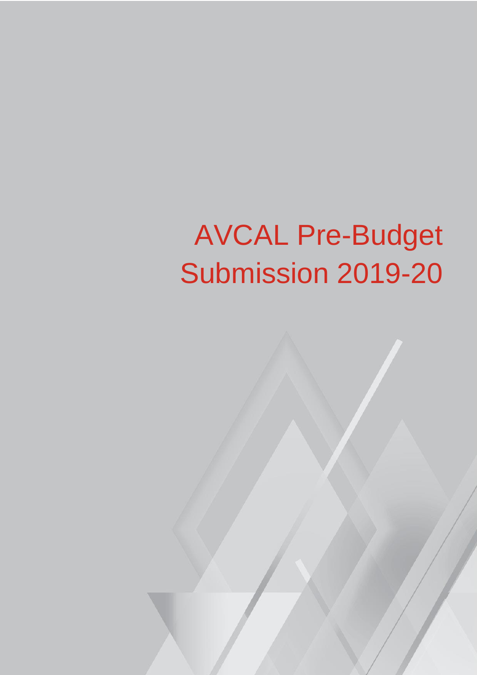# AVCAL Pre-Budget Submission 2019-20

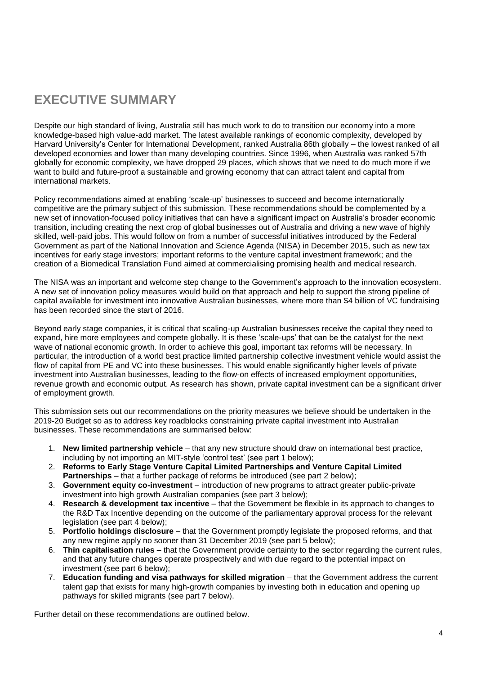# **EXECUTIVE SUMMARY**

Despite our high standard of living, Australia still has much work to do to transition our economy into a more knowledge-based high value-add market. The latest available rankings of economic complexity, developed by Harvard University's Center for International Development, ranked Australia 86th globally – the lowest ranked of all developed economies and lower than many developing countries. Since 1996, when Australia was ranked 57th globally for economic complexity, we have dropped 29 places, which shows that we need to do much more if we want to build and future-proof a sustainable and growing economy that can attract talent and capital from international markets.

Policy recommendations aimed at enabling 'scale-up' businesses to succeed and become internationally competitive are the primary subject of this submission. These recommendations should be complemented by a new set of innovation-focused policy initiatives that can have a significant impact on Australia's broader economic transition, including creating the next crop of global businesses out of Australia and driving a new wave of highly skilled, well-paid jobs. This would follow on from a number of successful initiatives introduced by the Federal Government as part of the National Innovation and Science Agenda (NISA) in December 2015, such as new tax incentives for early stage investors; important reforms to the venture capital investment framework; and the creation of a Biomedical Translation Fund aimed at commercialising promising health and medical research.

The NISA was an important and welcome step change to the Government's approach to the innovation ecosystem. A new set of innovation policy measures would build on that approach and help to support the strong pipeline of capital available for investment into innovative Australian businesses, where more than \$4 billion of VC fundraising has been recorded since the start of 2016.

Beyond early stage companies, it is critical that scaling-up Australian businesses receive the capital they need to expand, hire more employees and compete globally. It is these 'scale-ups' that can be the catalyst for the next wave of national economic growth. In order to achieve this goal, important tax reforms will be necessary. In particular, the introduction of a world best practice limited partnership collective investment vehicle would assist the flow of capital from PE and VC into these businesses. This would enable significantly higher levels of private investment into Australian businesses, leading to the flow-on effects of increased employment opportunities, revenue growth and economic output. As research has shown, private capital investment can be a significant driver of employment growth.

This submission sets out our recommendations on the priority measures we believe should be undertaken in the 2019-20 Budget so as to address key roadblocks constraining private capital investment into Australian businesses. These recommendations are summarised below:

- 1. **New limited partnership vehicle** that any new structure should draw on international best practice, including by not importing an MIT-style 'control test' (see part 1 below);
- 2. **Reforms to Early Stage Venture Capital Limited Partnerships and Venture Capital Limited Partnerships** – that a further package of reforms be introduced (see part 2 below);
- 3. **Government equity co-investment** introduction of new programs to attract greater public-private investment into high growth Australian companies (see part 3 below);
- 4. **Research & development tax incentive** that the Government be flexible in its approach to changes to the R&D Tax Incentive depending on the outcome of the parliamentary approval process for the relevant legislation (see part 4 below);
- 5. **Portfolio holdings disclosure** that the Government promptly legislate the proposed reforms, and that any new regime apply no sooner than 31 December 2019 (see part 5 below);
- 6. **Thin capitalisation rules** that the Government provide certainty to the sector regarding the current rules, and that any future changes operate prospectively and with due regard to the potential impact on investment (see part 6 below);
- 7. **Education funding and visa pathways for skilled migration** that the Government address the current talent gap that exists for many high-growth companies by investing both in education and opening up pathways for skilled migrants (see part 7 below).

Further detail on these recommendations are outlined below.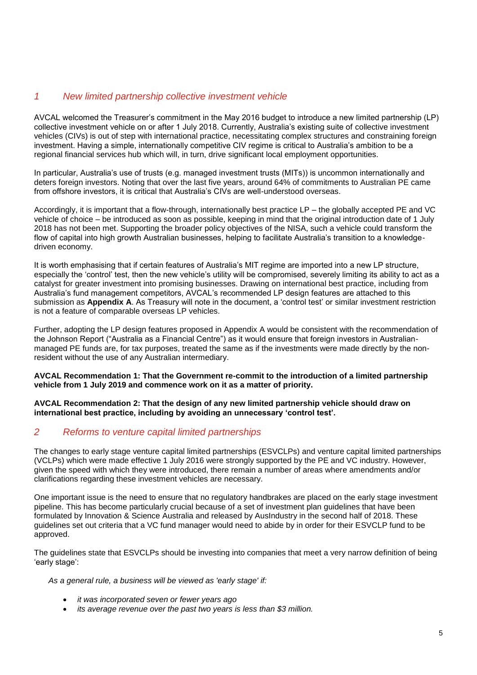#### *1 New limited partnership collective investment vehicle*

AVCAL welcomed the Treasurer's commitment in the May 2016 budget to introduce a new limited partnership (LP) collective investment vehicle on or after 1 July 2018. Currently, Australia's existing suite of collective investment vehicles (CIVs) is out of step with international practice, necessitating complex structures and constraining foreign investment. Having a simple, internationally competitive CIV regime is critical to Australia's ambition to be a regional financial services hub which will, in turn, drive significant local employment opportunities.

In particular, Australia's use of trusts (e.g. managed investment trusts (MITs)) is uncommon internationally and deters foreign investors. Noting that over the last five years, around 64% of commitments to Australian PE came from offshore investors, it is critical that Australia's CIVs are well-understood overseas.

Accordingly, it is important that a flow-through, internationally best practice LP – the globally accepted PE and VC vehicle of choice – be introduced as soon as possible, keeping in mind that the original introduction date of 1 July 2018 has not been met. Supporting the broader policy objectives of the NISA, such a vehicle could transform the flow of capital into high growth Australian businesses, helping to facilitate Australia's transition to a knowledgedriven economy.

It is worth emphasising that if certain features of Australia's MIT regime are imported into a new LP structure, especially the 'control' test, then the new vehicle's utility will be compromised, severely limiting its ability to act as a catalyst for greater investment into promising businesses. Drawing on international best practice, including from Australia's fund management competitors, AVCAL's recommended LP design features are attached to this submission as **Appendix A**. As Treasury will note in the document, a 'control test' or similar investment restriction is not a feature of comparable overseas LP vehicles.

Further, adopting the LP design features proposed in Appendix A would be consistent with the recommendation of the Johnson Report ("Australia as a Financial Centre") as it would ensure that foreign investors in Australianmanaged PE funds are, for tax purposes, treated the same as if the investments were made directly by the nonresident without the use of any Australian intermediary.

#### **AVCAL Recommendation 1: That the Government re-commit to the introduction of a limited partnership vehicle from 1 July 2019 and commence work on it as a matter of priority.**

**AVCAL Recommendation 2: That the design of any new limited partnership vehicle should draw on international best practice, including by avoiding an unnecessary 'control test'.** 

## *2 Reforms to venture capital limited partnerships*

The changes to early stage venture capital limited partnerships (ESVCLPs) and venture capital limited partnerships (VCLPs) which were made effective 1 July 2016 were strongly supported by the PE and VC industry. However, given the speed with which they were introduced, there remain a number of areas where amendments and/or clarifications regarding these investment vehicles are necessary.

One important issue is the need to ensure that no regulatory handbrakes are placed on the early stage investment pipeline. This has become particularly crucial because of a set of investment plan guidelines that have been formulated by Innovation & Science Australia and released by AusIndustry in the second half of 2018. These guidelines set out criteria that a VC fund manager would need to abide by in order for their ESVCLP fund to be approved.

The guidelines state that ESVCLPs should be investing into companies that meet a very narrow definition of being 'early stage':

*As a general rule, a business will be viewed as 'early stage' if:*

- *it was incorporated seven or fewer years ago*
- *its average revenue over the past two years is less than \$3 million.*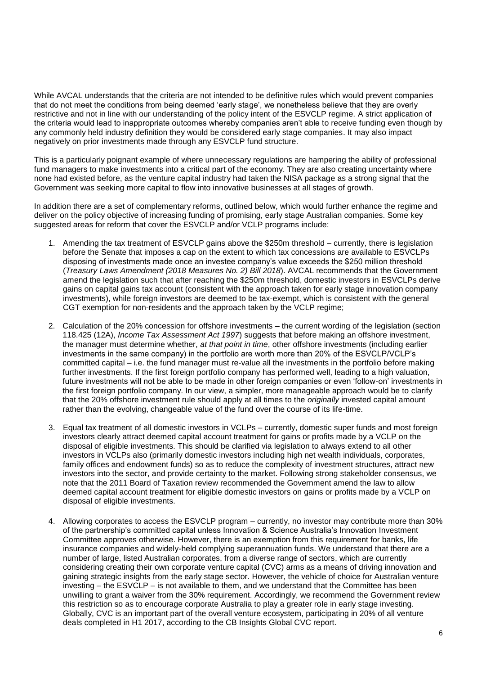While AVCAL understands that the criteria are not intended to be definitive rules which would prevent companies that do not meet the conditions from being deemed 'early stage', we nonetheless believe that they are overly restrictive and not in line with our understanding of the policy intent of the ESVCLP regime. A strict application of the criteria would lead to inappropriate outcomes whereby companies aren't able to receive funding even though by any commonly held industry definition they would be considered early stage companies. It may also impact negatively on prior investments made through any ESVCLP fund structure.

This is a particularly poignant example of where unnecessary regulations are hampering the ability of professional fund managers to make investments into a critical part of the economy. They are also creating uncertainty where none had existed before, as the venture capital industry had taken the NISA package as a strong signal that the Government was seeking more capital to flow into innovative businesses at all stages of growth.

In addition there are a set of complementary reforms, outlined below, which would further enhance the regime and deliver on the policy objective of increasing funding of promising, early stage Australian companies. Some key suggested areas for reform that cover the ESVCLP and/or VCLP programs include:

- 1. Amending the tax treatment of ESVCLP gains above the \$250m threshold currently, there is legislation before the Senate that imposes a cap on the extent to which tax concessions are available to ESVCLPs disposing of investments made once an investee company's value exceeds the \$250 million threshold (*Treasury Laws Amendment (2018 Measures No. 2) Bill 2018*). AVCAL recommends that the Government amend the legislation such that after reaching the \$250m threshold, domestic investors in ESVCLPs derive gains on capital gains tax account (consistent with the approach taken for early stage innovation company investments), while foreign investors are deemed to be tax-exempt, which is consistent with the general CGT exemption for non-residents and the approach taken by the VCLP regime;
- 2. Calculation of the 20% concession for offshore investments the current wording of the legislation (section 118.425 (12A), *Income Tax Assessment Act 1997*) suggests that before making an offshore investment, the manager must determine whether, *at that point in time*, other offshore investments (including earlier investments in the same company) in the portfolio are worth more than 20% of the ESVCLP/VCLP's committed capital – i.e. the fund manager must re-value all the investments in the portfolio before making further investments. If the first foreign portfolio company has performed well, leading to a high valuation, future investments will not be able to be made in other foreign companies or even 'follow-on' investments in the first foreign portfolio company. In our view, a simpler, more manageable approach would be to clarify that the 20% offshore investment rule should apply at all times to the *originally* invested capital amount rather than the evolving, changeable value of the fund over the course of its life-time.
- 3. Equal tax treatment of all domestic investors in VCLPs currently, domestic super funds and most foreign investors clearly attract deemed capital account treatment for gains or profits made by a VCLP on the disposal of eligible investments. This should be clarified via legislation to always extend to all other investors in VCLPs also (primarily domestic investors including high net wealth individuals, corporates, family offices and endowment funds) so as to reduce the complexity of investment structures, attract new investors into the sector, and provide certainty to the market. Following strong stakeholder consensus, we note that the 2011 Board of Taxation review recommended the Government amend the law to allow deemed capital account treatment for eligible domestic investors on gains or profits made by a VCLP on disposal of eligible investments.
- 4. Allowing corporates to access the ESVCLP program currently, no investor may contribute more than 30% of the partnership's committed capital unless Innovation & Science Australia's Innovation Investment Committee approves otherwise. However, there is an exemption from this requirement for banks, life insurance companies and widely-held complying superannuation funds. We understand that there are a number of large, listed Australian corporates, from a diverse range of sectors, which are currently considering creating their own corporate venture capital (CVC) arms as a means of driving innovation and gaining strategic insights from the early stage sector. However, the vehicle of choice for Australian venture investing – the ESVCLP – is not available to them, and we understand that the Committee has been unwilling to grant a waiver from the 30% requirement. Accordingly, we recommend the Government review this restriction so as to encourage corporate Australia to play a greater role in early stage investing. Globally, CVC is an important part of the overall venture ecosystem, participating in 20% of all venture deals completed in H1 2017, according to the CB Insights Global CVC report.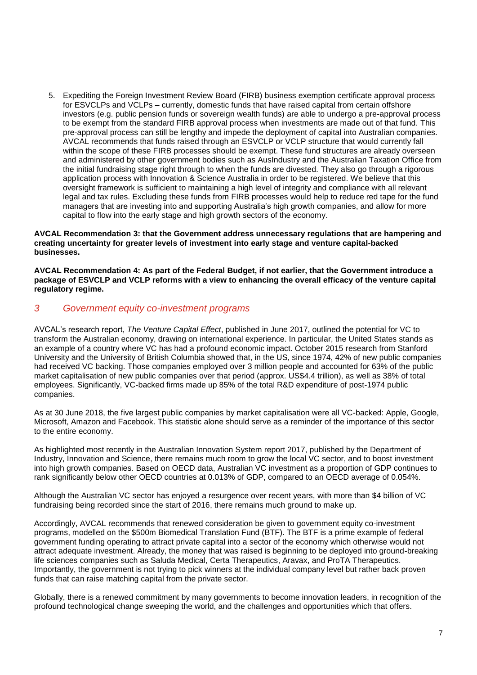5. Expediting the Foreign Investment Review Board (FIRB) business exemption certificate approval process for ESVCLPs and VCLPs – currently, domestic funds that have raised capital from certain offshore investors (e.g. public pension funds or sovereign wealth funds) are able to undergo a pre-approval process to be exempt from the standard FIRB approval process when investments are made out of that fund. This pre-approval process can still be lengthy and impede the deployment of capital into Australian companies. AVCAL recommends that funds raised through an ESVCLP or VCLP structure that would currently fall within the scope of these FIRB processes should be exempt. These fund structures are already overseen and administered by other government bodies such as AusIndustry and the Australian Taxation Office from the initial fundraising stage right through to when the funds are divested. They also go through a rigorous application process with Innovation & Science Australia in order to be registered. We believe that this oversight framework is sufficient to maintaining a high level of integrity and compliance with all relevant legal and tax rules. Excluding these funds from FIRB processes would help to reduce red tape for the fund managers that are investing into and supporting Australia's high growth companies, and allow for more capital to flow into the early stage and high growth sectors of the economy.

**AVCAL Recommendation 3: that the Government address unnecessary regulations that are hampering and creating uncertainty for greater levels of investment into early stage and venture capital-backed businesses.**

**AVCAL Recommendation 4: As part of the Federal Budget, if not earlier, that the Government introduce a package of ESVCLP and VCLP reforms with a view to enhancing the overall efficacy of the venture capital regulatory regime.**

#### *3 Government equity co-investment programs*

AVCAL's research report, *The Venture Capital Effect*, published in June 2017, outlined the potential for VC to transform the Australian economy, drawing on international experience. In particular, the United States stands as an example of a country where VC has had a profound economic impact. October 2015 research from Stanford University and the University of British Columbia showed that, in the US, since 1974, 42% of new public companies had received VC backing. Those companies employed over 3 million people and accounted for 63% of the public market capitalisation of new public companies over that period (approx. US\$4.4 trillion), as well as 38% of total employees. Significantly, VC-backed firms made up 85% of the total R&D expenditure of post-1974 public companies.

As at 30 June 2018, the five largest public companies by market capitalisation were all VC-backed: Apple, Google, Microsoft, Amazon and Facebook. This statistic alone should serve as a reminder of the importance of this sector to the entire economy.

As highlighted most recently in the Australian Innovation System report 2017, published by the Department of Industry, Innovation and Science, there remains much room to grow the local VC sector, and to boost investment into high growth companies. Based on OECD data, Australian VC investment as a proportion of GDP continues to rank significantly below other OECD countries at 0.013% of GDP, compared to an OECD average of 0.054%.

Although the Australian VC sector has enjoyed a resurgence over recent years, with more than \$4 billion of VC fundraising being recorded since the start of 2016, there remains much ground to make up.

Accordingly, AVCAL recommends that renewed consideration be given to government equity co-investment programs, modelled on the \$500m Biomedical Translation Fund (BTF). The BTF is a prime example of federal government funding operating to attract private capital into a sector of the economy which otherwise would not attract adequate investment. Already, the money that was raised is beginning to be deployed into ground-breaking life sciences companies such as Saluda Medical, Certa Therapeutics, Aravax, and ProTA Therapeutics. Importantly, the government is not trying to pick winners at the individual company level but rather back proven funds that can raise matching capital from the private sector.

Globally, there is a renewed commitment by many governments to become innovation leaders, in recognition of the profound technological change sweeping the world, and the challenges and opportunities which that offers.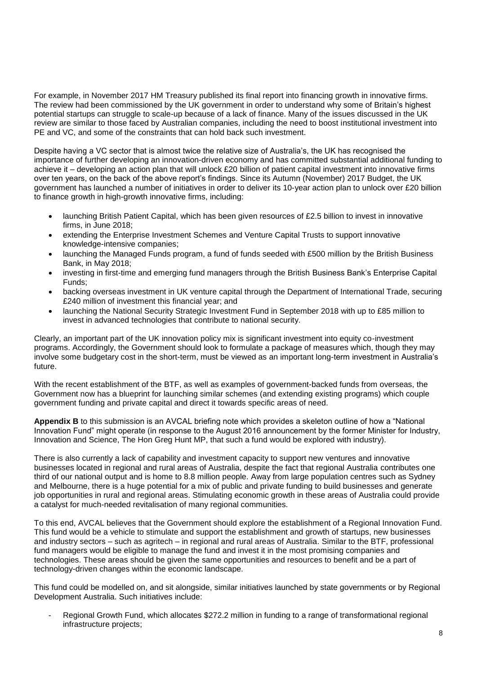For example, in November 2017 HM Treasury published its final report into financing growth in innovative firms. The review had been commissioned by the UK government in order to understand why some of Britain's highest potential startups can struggle to scale-up because of a lack of finance. Many of the issues discussed in the UK review are similar to those faced by Australian companies, including the need to boost institutional investment into PE and VC, and some of the constraints that can hold back such investment.

Despite having a VC sector that is almost twice the relative size of Australia's, the UK has recognised the importance of further developing an innovation-driven economy and has committed substantial additional funding to achieve it – developing an action plan that will unlock £20 billion of patient capital investment into innovative firms over ten years, on the back of the above report's findings. Since its Autumn (November) 2017 Budget, the UK government has launched a number of initiatives in order to deliver its 10-year action plan to unlock over £20 billion to finance growth in high-growth innovative firms, including:

- launching British Patient Capital, which has been given resources of £2.5 billion to invest in innovative firms, in June 2018;
- extending the Enterprise Investment Schemes and Venture Capital Trusts to support innovative knowledge-intensive companies;
- launching the Managed Funds program, a fund of funds seeded with £500 million by the British Business Bank, in May 2018;
- investing in first-time and emerging fund managers through the British Business Bank's Enterprise Capital Funds;
- backing overseas investment in UK venture capital through the Department of International Trade, securing £240 million of investment this financial year; and
- launching the National Security Strategic Investment Fund in September 2018 with up to £85 million to invest in advanced technologies that contribute to national security.

Clearly, an important part of the UK innovation policy mix is significant investment into equity co-investment programs. Accordingly, the Government should look to formulate a package of measures which, though they may involve some budgetary cost in the short-term, must be viewed as an important long-term investment in Australia's future.

With the recent establishment of the BTF, as well as examples of government-backed funds from overseas, the Government now has a blueprint for launching similar schemes (and extending existing programs) which couple government funding and private capital and direct it towards specific areas of need.

**Appendix B** to this submission is an AVCAL briefing note which provides a skeleton outline of how a "National Innovation Fund" might operate (in response to the August 2016 announcement by the former Minister for Industry, Innovation and Science, The Hon Greg Hunt MP, that such a fund would be explored with industry).

There is also currently a lack of capability and investment capacity to support new ventures and innovative businesses located in regional and rural areas of Australia, despite the fact that regional Australia contributes one third of our national output and is home to 8.8 million people. Away from large population centres such as Sydney and Melbourne, there is a huge potential for a mix of public and private funding to build businesses and generate job opportunities in rural and regional areas. Stimulating economic growth in these areas of Australia could provide a catalyst for much-needed revitalisation of many regional communities.

To this end, AVCAL believes that the Government should explore the establishment of a Regional Innovation Fund. This fund would be a vehicle to stimulate and support the establishment and growth of startups, new businesses and industry sectors – such as agritech – in regional and rural areas of Australia. Similar to the BTF, professional fund managers would be eligible to manage the fund and invest it in the most promising companies and technologies. These areas should be given the same opportunities and resources to benefit and be a part of technology-driven changes within the economic landscape.

This fund could be modelled on, and sit alongside, similar initiatives launched by state governments or by Regional Development Australia. Such initiatives include:

Regional Growth Fund, which allocates \$272.2 million in funding to a range of transformational regional infrastructure projects;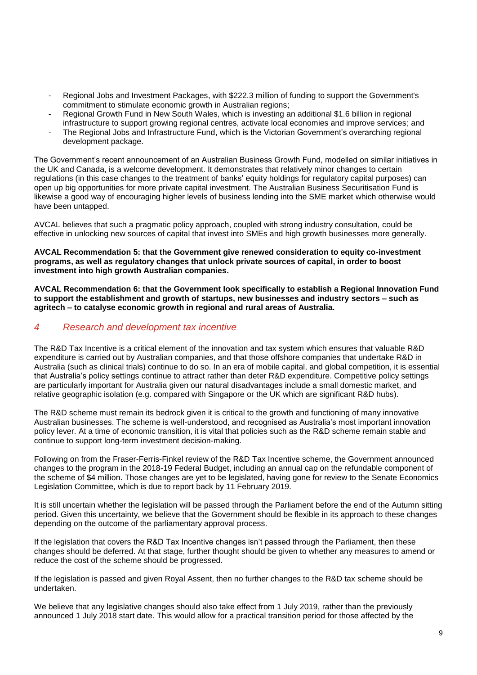- Regional Jobs and Investment Packages, with \$222.3 million of funding to support the Government's commitment to stimulate economic growth in Australian regions;
- Regional Growth Fund in New South Wales, which is investing an additional \$1.6 billion in regional infrastructure to support growing regional centres, activate local economies and improve services; and
- The Regional Jobs and Infrastructure Fund, which is the Victorian Government's overarching regional development package.

The Government's recent announcement of an Australian Business Growth Fund, modelled on similar initiatives in the UK and Canada, is a welcome development. It demonstrates that relatively minor changes to certain regulations (in this case changes to the treatment of banks' equity holdings for regulatory capital purposes) can open up big opportunities for more private capital investment. The Australian Business Securitisation Fund is likewise a good way of encouraging higher levels of business lending into the SME market which otherwise would have been untapped.

AVCAL believes that such a pragmatic policy approach, coupled with strong industry consultation, could be effective in unlocking new sources of capital that invest into SMEs and high growth businesses more generally.

#### **AVCAL Recommendation 5: that the Government give renewed consideration to equity co-investment programs, as well as regulatory changes that unlock private sources of capital, in order to boost investment into high growth Australian companies.**

**AVCAL Recommendation 6: that the Government look specifically to establish a Regional Innovation Fund to support the establishment and growth of startups, new businesses and industry sectors – such as agritech – to catalyse economic growth in regional and rural areas of Australia.**

#### *4 Research and development tax incentive*

The R&D Tax Incentive is a critical element of the innovation and tax system which ensures that valuable R&D expenditure is carried out by Australian companies, and that those offshore companies that undertake R&D in Australia (such as clinical trials) continue to do so. In an era of mobile capital, and global competition, it is essential that Australia's policy settings continue to attract rather than deter R&D expenditure. Competitive policy settings are particularly important for Australia given our natural disadvantages include a small domestic market, and relative geographic isolation (e.g. compared with Singapore or the UK which are significant R&D hubs).

The R&D scheme must remain its bedrock given it is critical to the growth and functioning of many innovative Australian businesses. The scheme is well-understood, and recognised as Australia's most important innovation policy lever. At a time of economic transition, it is vital that policies such as the R&D scheme remain stable and continue to support long-term investment decision-making.

Following on from the Fraser-Ferris-Finkel review of the R&D Tax Incentive scheme, the Government announced changes to the program in the 2018-19 Federal Budget, including an annual cap on the refundable component of the scheme of \$4 million. Those changes are yet to be legislated, having gone for review to the Senate Economics Legislation Committee, which is due to report back by 11 February 2019.

It is still uncertain whether the legislation will be passed through the Parliament before the end of the Autumn sitting period. Given this uncertainty, we believe that the Government should be flexible in its approach to these changes depending on the outcome of the parliamentary approval process.

If the legislation that covers the R&D Tax Incentive changes isn't passed through the Parliament, then these changes should be deferred. At that stage, further thought should be given to whether any measures to amend or reduce the cost of the scheme should be progressed.

If the legislation is passed and given Royal Assent, then no further changes to the R&D tax scheme should be undertaken.

We believe that any legislative changes should also take effect from 1 July 2019, rather than the previously announced 1 July 2018 start date. This would allow for a practical transition period for those affected by the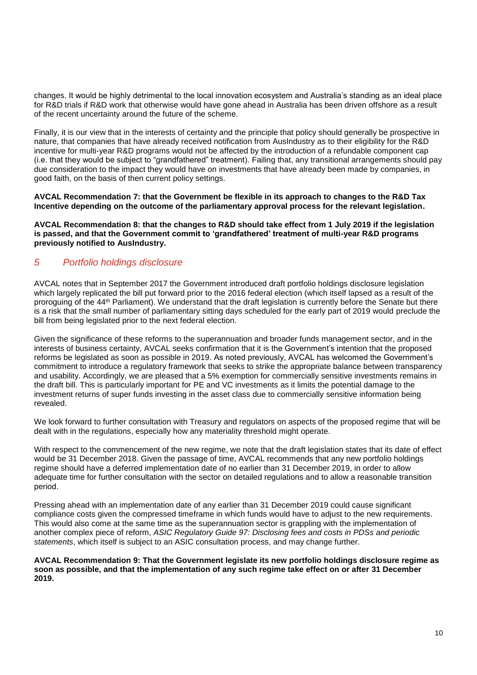changes. It would be highly detrimental to the local innovation ecosystem and Australia's standing as an ideal place for R&D trials if R&D work that otherwise would have gone ahead in Australia has been driven offshore as a result of the recent uncertainty around the future of the scheme.

Finally, it is our view that in the interests of certainty and the principle that policy should generally be prospective in nature, that companies that have already received notification from AusIndustry as to their eligibility for the R&D incentive for multi-year R&D programs would not be affected by the introduction of a refundable component cap (i.e. that they would be subject to "grandfathered" treatment). Failing that, any transitional arrangements should pay due consideration to the impact they would have on investments that have already been made by companies, in good faith, on the basis of then current policy settings.

**AVCAL Recommendation 7: that the Government be flexible in its approach to changes to the R&D Tax Incentive depending on the outcome of the parliamentary approval process for the relevant legislation.**

**AVCAL Recommendation 8: that the changes to R&D should take effect from 1 July 2019 if the legislation is passed, and that the Government commit to 'grandfathered' treatment of multi-year R&D programs previously notified to AusIndustry.** 

## *5 Portfolio holdings disclosure*

AVCAL notes that in September 2017 the Government introduced draft portfolio holdings disclosure legislation which largely replicated the bill put forward prior to the 2016 federal election (which itself lapsed as a result of the proroguing of the 44<sup>th</sup> Parliament). We understand that the draft legislation is currently before the Senate but there is a risk that the small number of parliamentary sitting days scheduled for the early part of 2019 would preclude the bill from being legislated prior to the next federal election.

Given the significance of these reforms to the superannuation and broader funds management sector, and in the interests of business certainty, AVCAL seeks confirmation that it is the Government's intention that the proposed reforms be legislated as soon as possible in 2019. As noted previously, AVCAL has welcomed the Government's commitment to introduce a regulatory framework that seeks to strike the appropriate balance between transparency and usability. Accordingly, we are pleased that a 5% exemption for commercially sensitive investments remains in the draft bill. This is particularly important for PE and VC investments as it limits the potential damage to the investment returns of super funds investing in the asset class due to commercially sensitive information being revealed.

We look forward to further consultation with Treasury and regulators on aspects of the proposed regime that will be dealt with in the regulations, especially how any materiality threshold might operate.

With respect to the commencement of the new regime, we note that the draft legislation states that its date of effect would be 31 December 2018. Given the passage of time, AVCAL recommends that any new portfolio holdings regime should have a deferred implementation date of no earlier than 31 December 2019, in order to allow adequate time for further consultation with the sector on detailed regulations and to allow a reasonable transition period.

Pressing ahead with an implementation date of any earlier than 31 December 2019 could cause significant compliance costs given the compressed timeframe in which funds would have to adjust to the new requirements. This would also come at the same time as the superannuation sector is grappling with the implementation of another complex piece of reform, *ASIC Regulatory Guide 97: Disclosing fees and costs in PDSs and periodic statements*, which itself is subject to an ASIC consultation process, and may change further.

**AVCAL Recommendation 9: That the Government legislate its new portfolio holdings disclosure regime as soon as possible, and that the implementation of any such regime take effect on or after 31 December 2019.**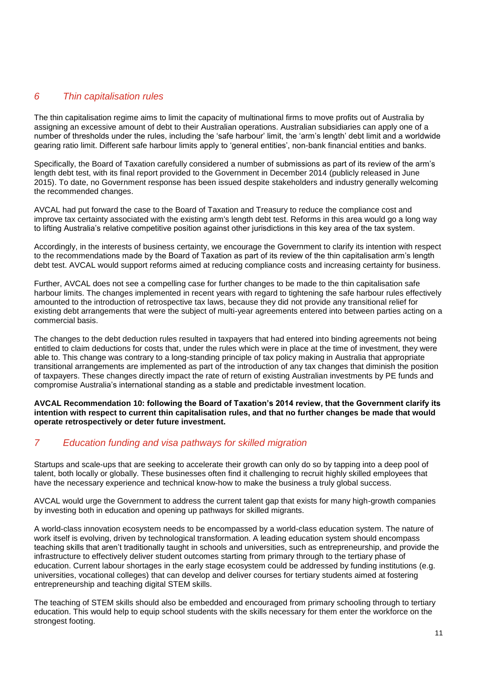## *6 Thin capitalisation rules*

The thin capitalisation regime aims to limit the capacity of multinational firms to move profits out of Australia by assigning an excessive amount of debt to their Australian operations. Australian subsidiaries can apply one of a number of thresholds under the rules, including the 'safe harbour' limit, the 'arm's length' debt limit and a worldwide gearing ratio limit. Different safe harbour limits apply to 'general entities', non-bank financial entities and banks.

Specifically, the Board of Taxation carefully considered a number of submissions as part of its review of the arm's length debt test, with its final report provided to the Government in December 2014 (publicly released in June 2015). To date, no Government response has been issued despite stakeholders and industry generally welcoming the recommended changes.

AVCAL had put forward the case to the Board of Taxation and Treasury to reduce the compliance cost and improve tax certainty associated with the existing arm's length debt test. Reforms in this area would go a long way to lifting Australia's relative competitive position against other jurisdictions in this key area of the tax system.

Accordingly, in the interests of business certainty, we encourage the Government to clarify its intention with respect to the recommendations made by the Board of Taxation as part of its review of the thin capitalisation arm's length debt test. AVCAL would support reforms aimed at reducing compliance costs and increasing certainty for business.

Further, AVCAL does not see a compelling case for further changes to be made to the thin capitalisation safe harbour limits. The changes implemented in recent years with regard to tightening the safe harbour rules effectively amounted to the introduction of retrospective tax laws, because they did not provide any transitional relief for existing debt arrangements that were the subject of multi-year agreements entered into between parties acting on a commercial basis.

The changes to the debt deduction rules resulted in taxpayers that had entered into binding agreements not being entitled to claim deductions for costs that, under the rules which were in place at the time of investment, they were able to. This change was contrary to a long-standing principle of tax policy making in Australia that appropriate transitional arrangements are implemented as part of the introduction of any tax changes that diminish the position of taxpayers. These changes directly impact the rate of return of existing Australian investments by PE funds and compromise Australia's international standing as a stable and predictable investment location.

**AVCAL Recommendation 10: following the Board of Taxation's 2014 review, that the Government clarify its intention with respect to current thin capitalisation rules, and that no further changes be made that would operate retrospectively or deter future investment.** 

# *7 Education funding and visa pathways for skilled migration*

Startups and scale-ups that are seeking to accelerate their growth can only do so by tapping into a deep pool of talent, both locally or globally. These businesses often find it challenging to recruit highly skilled employees that have the necessary experience and technical know-how to make the business a truly global success.

AVCAL would urge the Government to address the current talent gap that exists for many high-growth companies by investing both in education and opening up pathways for skilled migrants.

A world-class innovation ecosystem needs to be encompassed by a world-class education system. The nature of work itself is evolving, driven by technological transformation. A leading education system should encompass teaching skills that aren't traditionally taught in schools and universities, such as entrepreneurship, and provide the infrastructure to effectively deliver student outcomes starting from primary through to the tertiary phase of education. Current labour shortages in the early stage ecosystem could be addressed by funding institutions (e.g. universities, vocational colleges) that can develop and deliver courses for tertiary students aimed at fostering entrepreneurship and teaching digital STEM skills.

The teaching of STEM skills should also be embedded and encouraged from primary schooling through to tertiary education. This would help to equip school students with the skills necessary for them enter the workforce on the strongest footing.